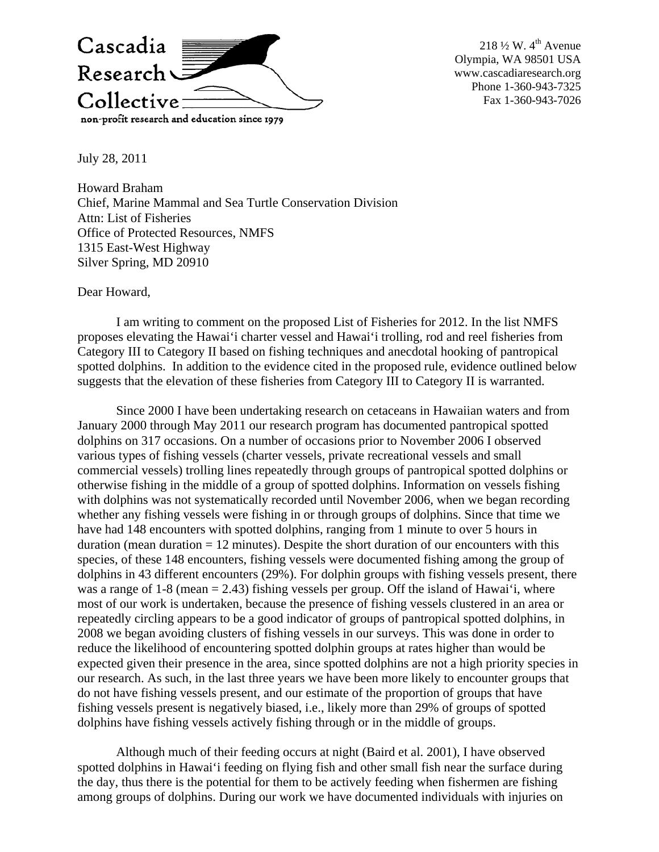

218  $\frac{1}{2}$  W. 4<sup>th</sup> Avenue Olympia, WA 98501 USA www.cascadiaresearch.org Phone 1-360-943-7325 Fax 1-360-943-7026

July 28, 2011

Howard Braham Chief, Marine Mammal and Sea Turtle Conservation Division Attn: List of Fisheries Office of Protected Resources, NMFS 1315 East-West Highway Silver Spring, MD 20910

Dear Howard,

I am writing to comment on the proposed List of Fisheries for 2012. In the list NMFS proposes elevating the Hawai'i charter vessel and Hawai'i trolling, rod and reel fisheries from Category III to Category II based on fishing techniques and anecdotal hooking of pantropical spotted dolphins. In addition to the evidence cited in the proposed rule, evidence outlined below suggests that the elevation of these fisheries from Category III to Category II is warranted.

Since 2000 I have been undertaking research on cetaceans in Hawaiian waters and from January 2000 through May 2011 our research program has documented pantropical spotted dolphins on 317 occasions. On a number of occasions prior to November 2006 I observed various types of fishing vessels (charter vessels, private recreational vessels and small commercial vessels) trolling lines repeatedly through groups of pantropical spotted dolphins or otherwise fishing in the middle of a group of spotted dolphins. Information on vessels fishing with dolphins was not systematically recorded until November 2006, when we began recording whether any fishing vessels were fishing in or through groups of dolphins. Since that time we have had 148 encounters with spotted dolphins, ranging from 1 minute to over 5 hours in duration (mean duration  $= 12$  minutes). Despite the short duration of our encounters with this species, of these 148 encounters, fishing vessels were documented fishing among the group of dolphins in 43 different encounters (29%). For dolphin groups with fishing vessels present, there was a range of  $1-8$  (mean  $= 2.43$ ) fishing vessels per group. Off the island of Hawai'i, where most of our work is undertaken, because the presence of fishing vessels clustered in an area or repeatedly circling appears to be a good indicator of groups of pantropical spotted dolphins, in 2008 we began avoiding clusters of fishing vessels in our surveys. This was done in order to reduce the likelihood of encountering spotted dolphin groups at rates higher than would be expected given their presence in the area, since spotted dolphins are not a high priority species in our research. As such, in the last three years we have been more likely to encounter groups that do not have fishing vessels present, and our estimate of the proportion of groups that have fishing vessels present is negatively biased, i.e., likely more than 29% of groups of spotted dolphins have fishing vessels actively fishing through or in the middle of groups.

Although much of their feeding occurs at night (Baird et al. 2001), I have observed spotted dolphins in Hawai'i feeding on flying fish and other small fish near the surface during the day, thus there is the potential for them to be actively feeding when fishermen are fishing among groups of dolphins. During our work we have documented individuals with injuries on